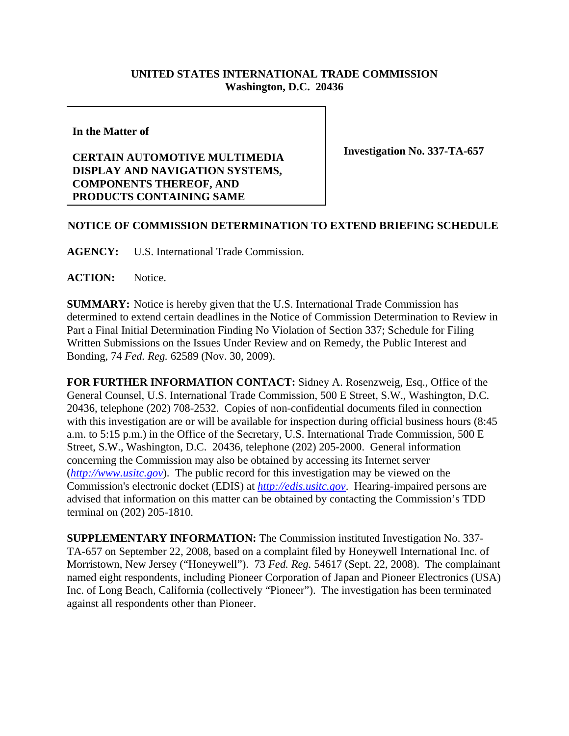## **UNITED STATES INTERNATIONAL TRADE COMMISSION Washington, D.C. 20436**

**In the Matter of**

## **CERTAIN AUTOMOTIVE MULTIMEDIA DISPLAY AND NAVIGATION SYSTEMS, COMPONENTS THEREOF, AND PRODUCTS CONTAINING SAME**

**Investigation No. 337-TA-657**

## **NOTICE OF COMMISSION DETERMINATION TO EXTEND BRIEFING SCHEDULE**

**AGENCY:** U.S. International Trade Commission.

**ACTION:** Notice.

**SUMMARY:** Notice is hereby given that the U.S. International Trade Commission has determined to extend certain deadlines in the Notice of Commission Determination to Review in Part a Final Initial Determination Finding No Violation of Section 337; Schedule for Filing Written Submissions on the Issues Under Review and on Remedy, the Public Interest and Bonding, 74 *Fed. Reg.* 62589 (Nov. 30, 2009).

**FOR FURTHER INFORMATION CONTACT:** Sidney A. Rosenzweig, Esq., Office of the General Counsel, U.S. International Trade Commission, 500 E Street, S.W., Washington, D.C. 20436, telephone (202) 708-2532. Copies of non-confidential documents filed in connection with this investigation are or will be available for inspection during official business hours (8:45 a.m. to 5:15 p.m.) in the Office of the Secretary, U.S. International Trade Commission, 500 E Street, S.W., Washington, D.C. 20436, telephone (202) 205-2000. General information concerning the Commission may also be obtained by accessing its Internet server (*http://www.usitc.gov*). The public record for this investigation may be viewed on the Commission's electronic docket (EDIS) at *http://edis.usitc.gov*. Hearing-impaired persons are advised that information on this matter can be obtained by contacting the Commission's TDD terminal on (202) 205-1810.

**SUPPLEMENTARY INFORMATION:** The Commission instituted Investigation No. 337- TA-657 on September 22, 2008, based on a complaint filed by Honeywell International Inc. of Morristown, New Jersey ("Honeywell"). 73 *Fed. Reg.* 54617 (Sept. 22, 2008). The complainant named eight respondents, including Pioneer Corporation of Japan and Pioneer Electronics (USA) Inc. of Long Beach, California (collectively "Pioneer"). The investigation has been terminated against all respondents other than Pioneer.